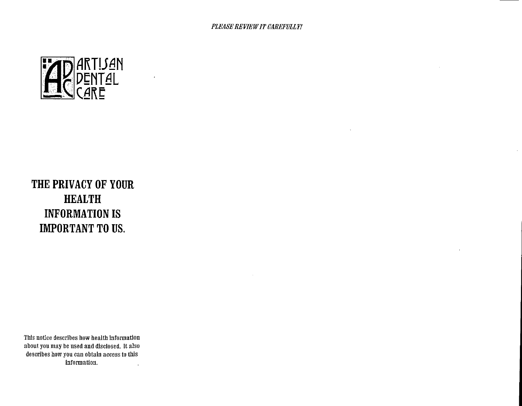

# **THE PRIVACY OF YOURHEALTH INFORMATION ISIMPORTANT TO US.**

This notice describes how health information ahout you may be used and disclosed. It also describes how you can obtain access to thisinformation. $\sim$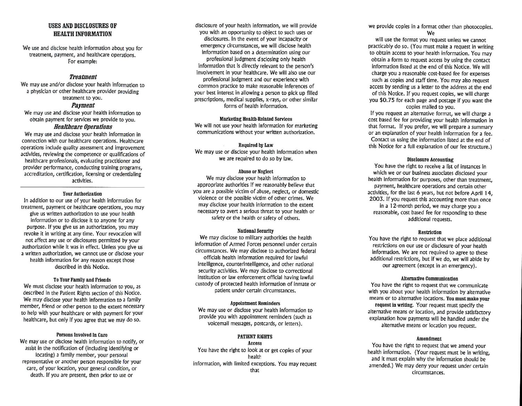## USES AND DISCLOSURES **OFHEALTH INFORMATION**

We use and disclose health information about you fortreatment, payment, and healthcare operations.For example:

## *Treatment*

 We may use and/or disclose your health information toa physician or other healthcare provider providingtreatment to you.

## *Payment*

 We may use and disclose your health information toobtain payment for services we provide to you.

## *Healthcare Operations*

 We may use and disclose your health information in connection with our healthcare operations. Healthcare operations include quality assessment and improvement activities, reviewing the competence or qualifications ofhealthcare professionals, evaluating practitioner and provider performance, conducting training programs, accreditation, certification, licensing or credentialingactivities.

#### Your Authorization

 In addition to our use of your health information for treatment, payment or healthcare operations, you maygive us written authorization to use your health information or to disclose it to anyone for any purpose. If you give us an authorization, you may revoke it in writing at any time. Your revocation willnot affect any use or disclosures permitted by your authorization while it was in effect. Unless you give us a written authorization, we cannot use or disclose yourhealth information for any reason except thosedescribed in this Notice.

#### To Your Family and Friends

 We must disclose your health information to you, as described in the Patient Rights section of this Notice. We may disclose your health information to a family member, friend or other person to the extent necessary to help with your healthcare or with payment for yourhealthcare, but only if you agree that we may do so.

#### Persons Involved In Care

 We may use or disclose health information to notify, orassist in the notification of (including identifying orlocating) a family member, your personal representative or another person responsible for yourcare, of your location, your general condition, ordeath. If you are present, then prior to use or

disclosure of your health information, we will provideyou with an opportunity to object to such uses ordisclosures. In the event of your incapacity or emergency circumstances, we will disclose health information based on a determination using ourprofessional judgment disclosing only health information that is directly relevant to the person's involvement in your healthcare. We will also use ourprofessional judgment and our experience with common practice to make reasonable inferences of your best interest in allowing a person to pick up filled prescriptions, medical supplies, x-rays, or other similarforms of health information.

#### Marketing Health-Related Services

 We will not use your health information for marketingcommunications without your written authorization.

#### Required by Law

 We may use or disclose your health information whenwe are required to do so by law.

#### Abuse or Neglect

 We may disclose your health information to appropriate authorities if we reasonably believe that you are a possible victim of abuse, neglect, or domestic violence or the possible victim of other crimes. We may disclose your health information to the extent necessary to avert a serious threat to your health orsafety or the health or safety of others.

## National Security

 We may disclose to military authorities the health information of Armed Forces personnel under certain circumstances. We may disclose to authorized federalofficials health information required for lawfulntelligence, counterintelligence, and other national security activities. We may disclose to correctionalnstitution or law enforcement official having lawful custody of protected health information of inmate orpatient under certain circumstances.

#### Appointment Reminders

 We may use or disclose your health information to provide you with appointment reminders {such asvoicemail messages, postcards, or letters).

#### PATIENT RIGHTS

Access You have the right to look at or get copies of yourhealth information, with limited exceptions. You may requestthat

we provide copies in a format other than photocopies.We

 will use the format you request unless we cannot practicably do so. (You must make a request in writing to obtain access to your health information. You may obtain a form to request access by using the contact information listed at the end of this Notice. We will charge you a reasonable cost-based fee for expenses such as copies and staff time. You may also request access by sending us a letter to the address at the end of this Notice. If you request copies, we will charge you \$0.75 for each page and postage if you want thecopies mailed to you.

 If you request an alternative format, we will charge a cost based fee for providing your health information in that format. If you prefer, we will prepare a summary or an explanation of your health information for a fee.Contact us using the information listed at the end ofthis Notice for a full explanation of our fee structure.)

#### Disclosure Accounting

 You have the right to receive a list of instances in which we or our business associates disclosed your health information for purposes, other than treatment,payment, healthcare operations and certain other activities, for the last 6 years, but not before April 14, 2003. If you request this accounting more than oncein a 12-month period, we may charge you a reasonable, cost based fee for responding to theseadditional requests.

#### Restriction

 You have the right to request that we place additionalrestrictions on our use or disclosure of your healthnformation. We are not required to agree to these additional restrictions, but if we do, we will abide byour agreement (except in an emergency).

#### Alternative Communication

 You have the right to request that we communicate with you about your health information by alternative means or to alternative locations. You must make yourrequest in writing. Your request must specify the alternative means or location, and provide satisfactory explanation how payments will be handled under thealternative means or location you request.

## Amendment

 You have the right to request that we amend your health information. (Your request must be in writing,and it must explain why the information should be amended.) We may deny your request under certaincircumstances.